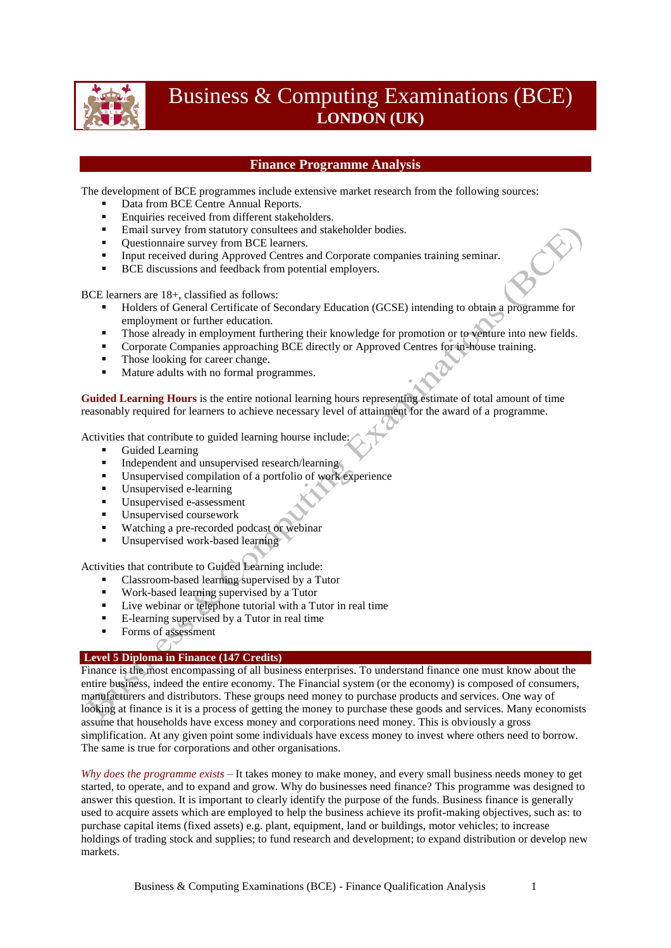

# Business & Computing Examinations (BCE) **LONDON (UK)**

## **Finance Programme Analysis**

The development of BCE programmes include extensive market research from the following sources:

- Data from BCE Centre Annual Reports.
- **Enquiries received from different stakeholders.**
- Email survey from statutory consultees and stakeholder bodies.
- Ouestionnaire survey from BCE learners.
- Input received during Approved Centres and Corporate companies training seminar.
- BCE discussions and feedback from potential employers.

BCE learners are 18+, classified as follows:

- Holders of General Certificate of Secondary Education (GCSE) intending to obtain a programme for employment or further education.
- Those already in employment furthering their knowledge for promotion or to venture into new fields.
- **Corporate Companies approaching BCE directly or Approved Centres for in-house training.**
- Those looking for career change.
- Mature adults with no formal programmes.

**Guided Learning Hours** is the entire notional learning hours representing estimate of total amount of time reasonably required for learners to achieve necessary level of attainment for the award of a programme.

Activities that contribute to guided learning hourse include:

- Guided Learning
- Independent and unsupervised research/learning
- Unsupervised compilation of a portfolio of work experience
- Unsupervised e-learning
- Unsupervised e-assessment
- Unsupervised coursework
- Watching a pre-recorded podcast or webinar
- Unsupervised work-based learning

Activities that contribute to Guided Learning include:

- Classroom-based learning supervised by a Tutor
- Work-based learning supervised by a Tutor
- Live webinar or telephone tutorial with a Tutor in real time
- E-learning supervised by a Tutor in real time
- Forms of assessment O

## **Level 5 Diploma in Finance (147 Credits)**

Finance is the most encompassing of all business enterprises. To understand finance one must know about the entire business, indeed the entire economy. The Financial system (or the economy) is composed of consumers, manufacturers and distributors. These groups need money to purchase products and services. One way of looking at finance is it is a process of getting the money to purchase these goods and services. Many economists assume that households have excess money and corporations need money. This is obviously a gross simplification. At any given point some individuals have excess money to invest where others need to borrow. The same is true for corporations and other organisations.

*Why does the programme exists* – It takes money to make money, and every small business needs money to get started, to operate, and to expand and grow. Why do businesses need finance? This programme was designed to answer this question. It is important to clearly identify the purpose of the funds. Business finance is generally used to acquire assets which are employed to help the business achieve its profit-making objectives, such as: to purchase capital items (fixed assets) e.g. plant, equipment, land or buildings, motor vehicles; to increase holdings of trading stock and supplies; to fund research and development; to expand distribution or develop new markets.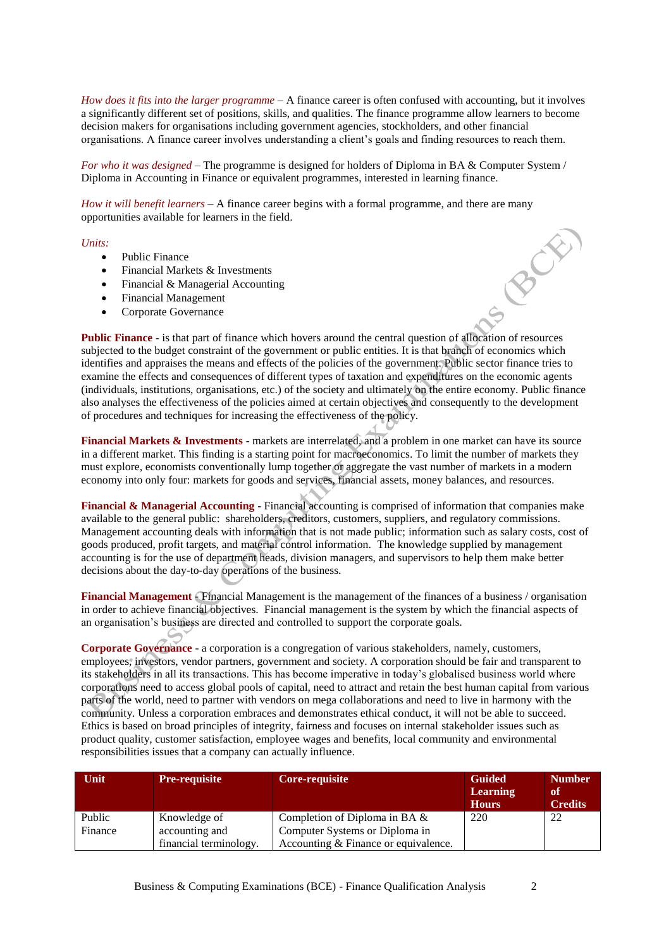*How does it fits into the larger programme* – A finance career is often confused with accounting, but it involves a significantly different set of positions, skills, and qualities. The finance programme allow learners to become decision makers for organisations including government agencies, stockholders, and other financial organisations. A finance career involves understanding a client's goals and finding resources to reach them.

*For who it was designed* – The programme is designed for holders of Diploma in BA & Computer System / Diploma in Accounting in Finance or equivalent programmes, interested in learning finance.

*How it will benefit learners* – A finance career begins with a formal programme, and there are many opportunities available for learners in the field.

#### *Units:*

- Public Finance
- Financial Markets & Investments
- Financial & Managerial Accounting
- Financial Management
- Corporate Governance

**Public Finance** - is that part of finance which hovers around the central question of allocation of resources subjected to the budget constraint of the government or public entities. It is that branch of economics which identifies and appraises the means and effects of the policies of the government. Public sector finance tries to examine the effects and consequences of different types of taxation and expenditures on the economic agents (individuals, institutions, organisations, etc.) of the society and ultimately on the entire economy. Public finance also analyses the effectiveness of the policies aimed at certain objectives and consequently to the development of procedures and techniques for increasing the effectiveness of the policy.

**Financial Markets & Investments** - markets are interrelated, and a problem in one market can have its source in a different market. This finding is a starting point for macroeconomics. To limit the number of markets they must explore, economists conventionally lump together or aggregate the vast number of markets in a modern economy into only four: markets for goods and services, financial assets, money balances, and resources.

**Financial & Managerial Accounting** - Financial accounting is comprised of information that companies make available to the general public: shareholders, creditors, customers, suppliers, and regulatory commissions. Management accounting deals with information that is not made public; information such as salary costs, cost of goods produced, profit targets, and material control information. The knowledge supplied by management accounting is for the use of department heads, division managers, and supervisors to help them make better decisions about the day-to-day operations of the business.

**Financial Management** - Financial Management is the management of the finances of a business / organisation in order to achieve financial objectives. Financial management is the system by which the financial aspects of an organisation's business are directed and controlled to support the corporate goals.

**Corporate Governance** - a corporation is a congregation of various stakeholders, namely, customers, employees, investors, vendor partners, government and society. A corporation should be fair and transparent to its stakeholders in all its transactions. This has become imperative in today's globalised business world where corporations need to access global pools of capital, need to attract and retain the best human capital from various parts of the world, need to partner with vendors on mega collaborations and need to live in harmony with the community. Unless a corporation embraces and demonstrates ethical conduct, it will not be able to succeed. Ethics is based on broad principles of integrity, fairness and focuses on internal stakeholder issues such as product quality, customer satisfaction, employee wages and benefits, local community and environmental responsibilities issues that a company can actually influence.

| <b>Unit</b> | <b>Pre-requisite</b>   | Core-requisite                       | <b>Guided</b><br><b>Learning</b><br><b>Hours</b> | <b>Number</b><br>of<br><b>Credits</b> |
|-------------|------------------------|--------------------------------------|--------------------------------------------------|---------------------------------------|
| Public      | Knowledge of           | Completion of Diploma in BA $\&$     | 220                                              | 22                                    |
| Finance     | accounting and         | Computer Systems or Diploma in       |                                                  |                                       |
|             | financial terminology. | Accounting & Finance or equivalence. |                                                  |                                       |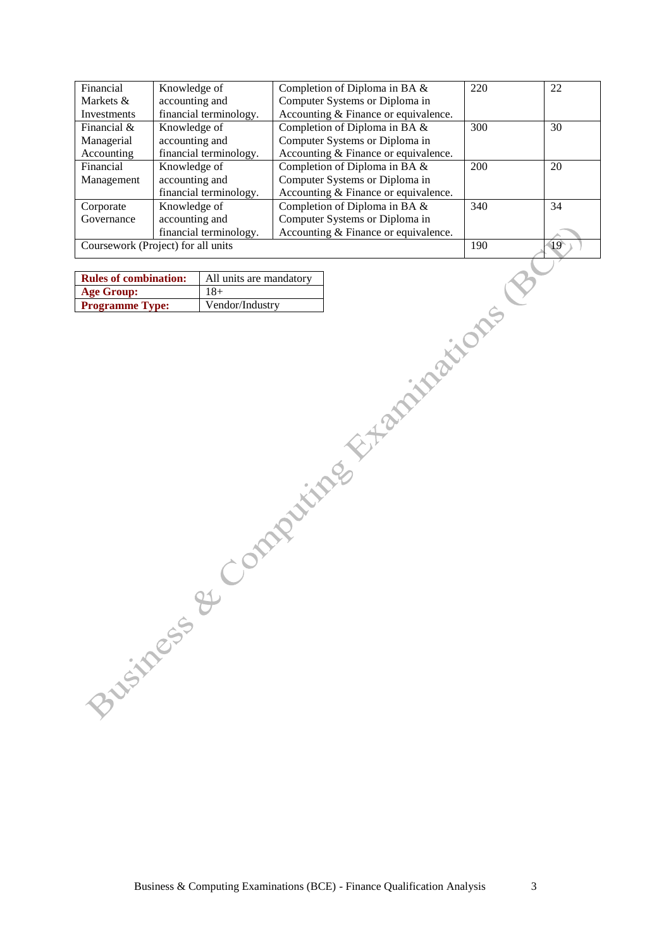| Financial     | Knowledge of                       | Completion of Diploma in BA &        | 220 | 22              |
|---------------|------------------------------------|--------------------------------------|-----|-----------------|
| Markets &     | accounting and                     | Computer Systems or Diploma in       |     |                 |
| Investments   | financial terminology.             | Accounting & Finance or equivalence. |     |                 |
| Financial $&$ | Knowledge of                       | Completion of Diploma in BA &        | 300 | 30              |
| Managerial    | accounting and                     | Computer Systems or Diploma in       |     |                 |
| Accounting    | financial terminology.             | Accounting & Finance or equivalence. |     |                 |
| Financial     | Knowledge of                       | Completion of Diploma in BA &        | 200 | 20              |
| Management    | accounting and                     | Computer Systems or Diploma in       |     |                 |
|               | financial terminology.             | Accounting & Finance or equivalence. |     |                 |
| Corporate     | Knowledge of                       | Completion of Diploma in BA &        | 340 | 34              |
| Governance    | accounting and                     | Computer Systems or Diploma in       |     |                 |
|               | financial terminology.             | Accounting & Finance or equivalence. |     |                 |
|               | Coursework (Project) for all units |                                      | 190 | $\overline{19}$ |

| <b>Rules of combination:</b> | All units are mandatory |
|------------------------------|-------------------------|
| <b>Age Group:</b>            | $18+$                   |
| <b>Programme Type:</b>       | Vendor/Industry         |

Business & Computing Examinations (BCE) - Finance Qualification Analysis 3

|   | ٠       |  |
|---|---------|--|
| i |         |  |
|   |         |  |
|   |         |  |
|   | ۰,<br>I |  |
| × | v       |  |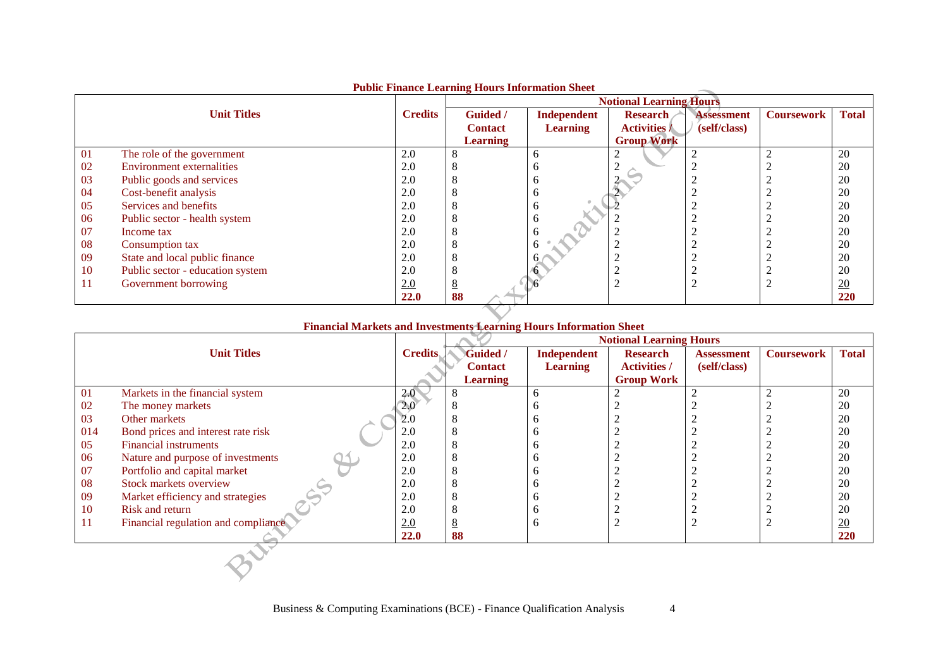|     | T GOIN FINANCE LOAI INNE TIOUTS THIN MAGNI SHOUL<br><b>Notional Learning Hours</b> |                |                            |                                |                                        |                                   |                   |                  |
|-----|------------------------------------------------------------------------------------|----------------|----------------------------|--------------------------------|----------------------------------------|-----------------------------------|-------------------|------------------|
|     | <b>Unit Titles</b>                                                                 | <b>Credits</b> | Guided /<br><b>Contact</b> | Independent<br><b>Learning</b> | <b>Research</b><br><b>Activities /</b> | <b>Assessment</b><br>(self/class) | <b>Coursework</b> | <b>Total</b>     |
|     |                                                                                    |                | <b>Learning</b>            |                                | <b>Group Work</b>                      |                                   |                   |                  |
| -01 | The role of the government                                                         | 2.0            |                            | n                              |                                        |                                   |                   | 20               |
| 02  | <b>Environment externalities</b>                                                   | 2.0            |                            | n                              |                                        |                                   |                   | 20               |
| 03  | Public goods and services                                                          | 2.0            |                            | O                              |                                        |                                   |                   | 20               |
| 04  | Cost-benefit analysis                                                              | 2.0            |                            | o                              |                                        |                                   |                   | 20               |
| 05  | Services and benefits                                                              | 2.0            |                            | n                              |                                        |                                   |                   | 20               |
| 06  | Public sector - health system                                                      | 2.0            |                            | o                              |                                        |                                   |                   | 20               |
| -07 | Income tax                                                                         | 2.0            |                            | n                              |                                        |                                   |                   | 20               |
| 08  | Consumption tax                                                                    | 2.0            |                            |                                |                                        |                                   |                   | 20               |
| 09  | State and local public finance                                                     | 2.0            |                            |                                |                                        |                                   |                   | 20               |
| 10  | Public sector - education system                                                   | 2.0            |                            |                                |                                        |                                   |                   | 20               |
| 11  | Government borrowing                                                               | 2.0            |                            |                                |                                        |                                   |                   | $\underline{20}$ |
|     |                                                                                    | 22.0           | 88                         |                                |                                        |                                   |                   | 220              |

## **Public Finance Learning Hours Information Sheet**

### **Financial Markets and Investments Learning Hours Information Sheet**

|     |                                     |                | <b>Notional Learning Hours</b> |                 |                     |                   |                   |                |
|-----|-------------------------------------|----------------|--------------------------------|-----------------|---------------------|-------------------|-------------------|----------------|
|     | <b>Unit Titles</b>                  | <b>Credits</b> | <b>Guided</b> /                | Independent     | <b>Research</b>     | <b>Assessment</b> | <b>Coursework</b> | <b>Total</b>   |
|     |                                     |                | <b>Contact</b>                 | <b>Learning</b> | <b>Activities /</b> | (self/class)      |                   |                |
|     |                                     |                | <b>Learning</b>                |                 | <b>Group Work</b>   |                   |                   |                |
| 01  | Markets in the financial system     | 2.0            |                                | n               |                     |                   | ◠                 | 20             |
| 02  | The money markets                   | 2.0            |                                |                 |                     |                   |                   | 20             |
| 03  | Other markets                       | 2.0            |                                |                 |                     |                   |                   | 20             |
| 014 | Bond prices and interest rate risk  | 2.0            |                                |                 |                     |                   |                   | 20             |
| 05  | <b>Financial instruments</b>        | 2.0            |                                |                 |                     |                   |                   | 20             |
| 06  | Nature and purpose of investments   | 2.0            |                                |                 |                     |                   |                   | 20             |
| 07  | Portfolio and capital market        | 2.0            |                                |                 |                     |                   |                   | 20             |
| 08  | Stock markets overview              | 2.0            |                                |                 |                     |                   |                   | 20             |
| 09  | Market efficiency and strategies    | 2.0            |                                |                 |                     |                   |                   | 20             |
| 10  | Risk and return                     | 2.0            |                                |                 |                     |                   |                   | 20             |
| 11  | Financial regulation and compliance | 2.0            |                                |                 |                     |                   | ↑                 | $\frac{20}{2}$ |
|     |                                     | 22.0           | 88                             |                 |                     |                   |                   | 220            |
|     |                                     |                |                                |                 |                     |                   |                   |                |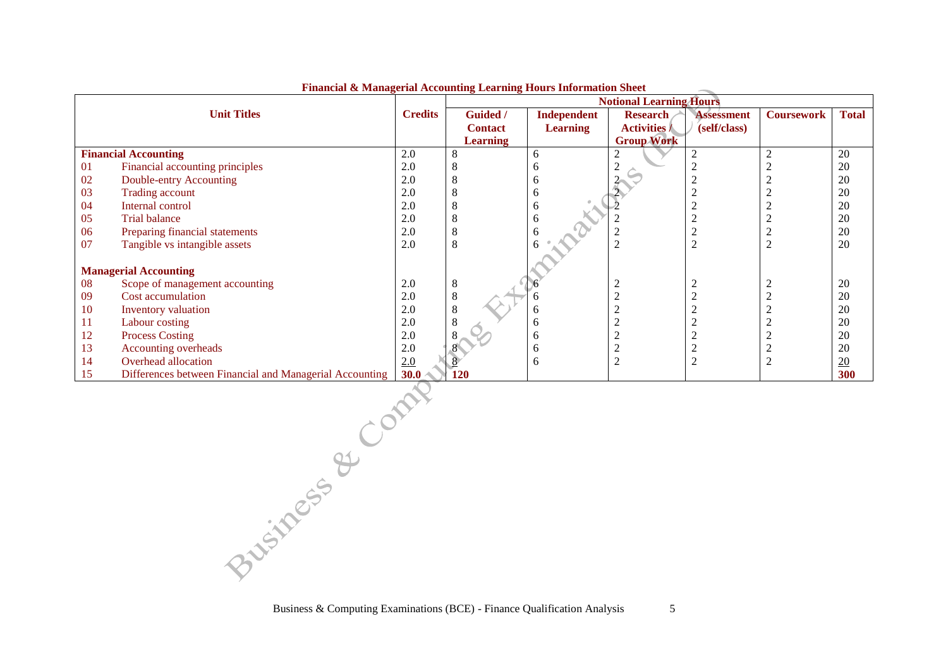|    | т папсыі се нашадства несовнаці демініці томо тіготимают |                | <b>Notional Learning Hours</b> |                    |                     |                   |                   |                  |  |
|----|----------------------------------------------------------|----------------|--------------------------------|--------------------|---------------------|-------------------|-------------------|------------------|--|
|    | <b>Unit Titles</b>                                       | <b>Credits</b> | Guided /                       | <b>Independent</b> | <b>Research</b>     | <b>Assessment</b> | <b>Coursework</b> | <b>Total</b>     |  |
|    |                                                          |                | <b>Contact</b>                 | <b>Learning</b>    | <b>Activities /</b> | (self/class)      |                   |                  |  |
|    |                                                          |                | <b>Learning</b>                |                    | <b>Group Work</b>   |                   |                   |                  |  |
|    | <b>Financial Accounting</b>                              | 2.0            |                                | 6                  |                     |                   |                   | 20               |  |
| 01 | Financial accounting principles                          | 2.0            |                                |                    |                     |                   |                   | 20               |  |
| 02 | Double-entry Accounting                                  | 2.0            |                                | h                  |                     |                   |                   | 20               |  |
| 03 | <b>Trading account</b>                                   | 2.0            |                                | h                  |                     |                   |                   | 20               |  |
| 04 | Internal control                                         | 2.0            |                                | 6                  |                     |                   |                   | 20               |  |
| 05 | <b>Trial balance</b>                                     | 2.0            |                                |                    |                     |                   |                   | 20               |  |
| 06 | Preparing financial statements                           | 2.0            |                                |                    |                     |                   |                   | 20               |  |
| 07 | Tangible vs intangible assets                            | 2.0            |                                |                    |                     | ◠                 |                   | 20               |  |
|    |                                                          |                |                                |                    |                     |                   |                   |                  |  |
|    | <b>Managerial Accounting</b>                             |                |                                |                    |                     |                   |                   |                  |  |
| 08 | Scope of management accounting                           | 2.0            | 8                              |                    | ◠<br>∠              |                   |                   | 20               |  |
| 09 | Cost accumulation                                        | 2.0            |                                |                    |                     |                   |                   | 20               |  |
| 10 | Inventory valuation                                      | 2.0            |                                | h                  |                     |                   |                   | 20               |  |
| 11 | Labour costing                                           | 2.0            |                                | h                  |                     |                   |                   | 20               |  |
| 12 | <b>Process Costing</b>                                   | 2.0            |                                | h                  |                     |                   |                   | 20               |  |
| 13 | Accounting overheads                                     | 2.0            |                                | h                  |                     |                   |                   | 20               |  |
| 14 | Overhead allocation                                      | 2.0            |                                | 6                  | 2                   |                   |                   | $\underline{20}$ |  |
| 15 | Differences between Financial and Managerial Accounting  | 30.0           | 120                            |                    |                     |                   |                   | 300              |  |

#### **Financial & Managerial Accounting Learning Hours Information Sheet**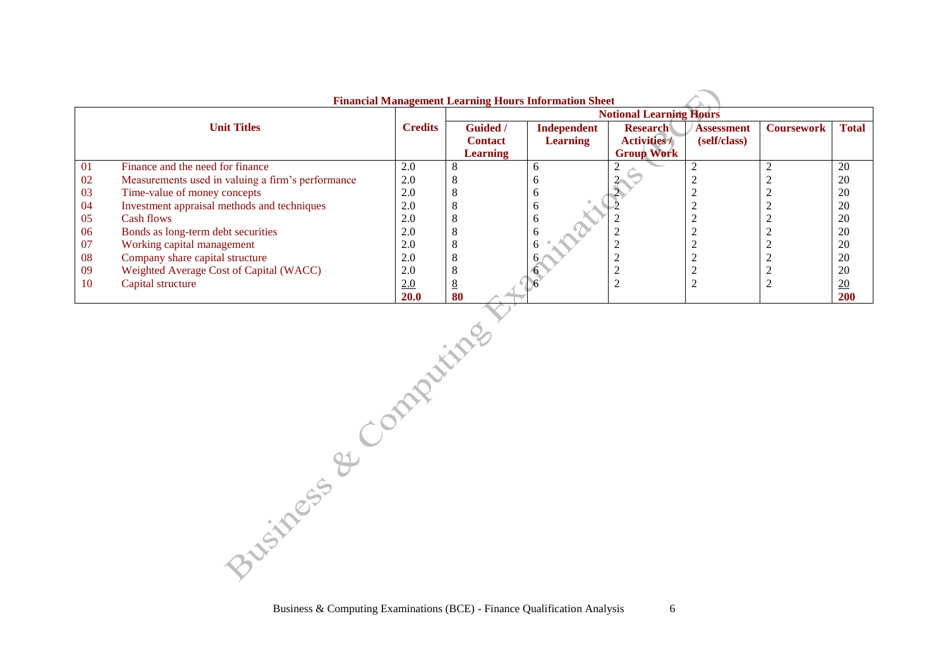|    | <b>Financial Management Learning Hours Information Sheet</b> |                |                                |                 |                     |                   |                   |                  |  |  |
|----|--------------------------------------------------------------|----------------|--------------------------------|-----------------|---------------------|-------------------|-------------------|------------------|--|--|
|    |                                                              |                | <b>Notional Learning Hours</b> |                 |                     |                   |                   |                  |  |  |
|    | <b>Unit Titles</b>                                           | <b>Credits</b> | <b>Guided</b> /                | Independent     | <b>Research</b>     | <b>Assessment</b> | <b>Coursework</b> | <b>Total</b>     |  |  |
|    |                                                              |                | <b>Contact</b>                 | <b>Learning</b> | <b>Activities /</b> | (self/class)      |                   |                  |  |  |
|    |                                                              |                | <b>Learning</b>                |                 | <b>Group Work</b>   |                   |                   |                  |  |  |
| 01 | Finance and the need for finance                             | 2.0            | 8                              |                 |                     |                   |                   | 20               |  |  |
| 02 | Measurements used in valuing a firm's performance            | 2.0            | 8                              |                 |                     |                   |                   | 20               |  |  |
| 03 | Time-value of money concepts                                 | 2.0            | 8                              |                 |                     |                   |                   | 20               |  |  |
| 04 | Investment appraisal methods and techniques                  | 2.0            | 8                              |                 |                     |                   |                   | 20               |  |  |
| 05 | Cash flows                                                   | 2.0            | 8                              |                 |                     |                   |                   | 20               |  |  |
| 06 | Bonds as long-term debt securities                           | 2.0            | 8                              |                 |                     |                   |                   | 20               |  |  |
| 07 | Working capital management                                   | 2.0            | 8                              |                 |                     |                   |                   | 20               |  |  |
| 08 | Company share capital structure                              | 2.0            | 8                              |                 |                     |                   |                   | 20               |  |  |
| 09 | Weighted Average Cost of Capital (WACC)                      | 2.0            | 8                              |                 |                     |                   |                   | 20               |  |  |
| 10 | Capital structure                                            | 2.0            | 8                              |                 |                     |                   |                   | $\underline{20}$ |  |  |
|    |                                                              | <b>20.0</b>    | 80                             |                 |                     |                   |                   | <b>200</b>       |  |  |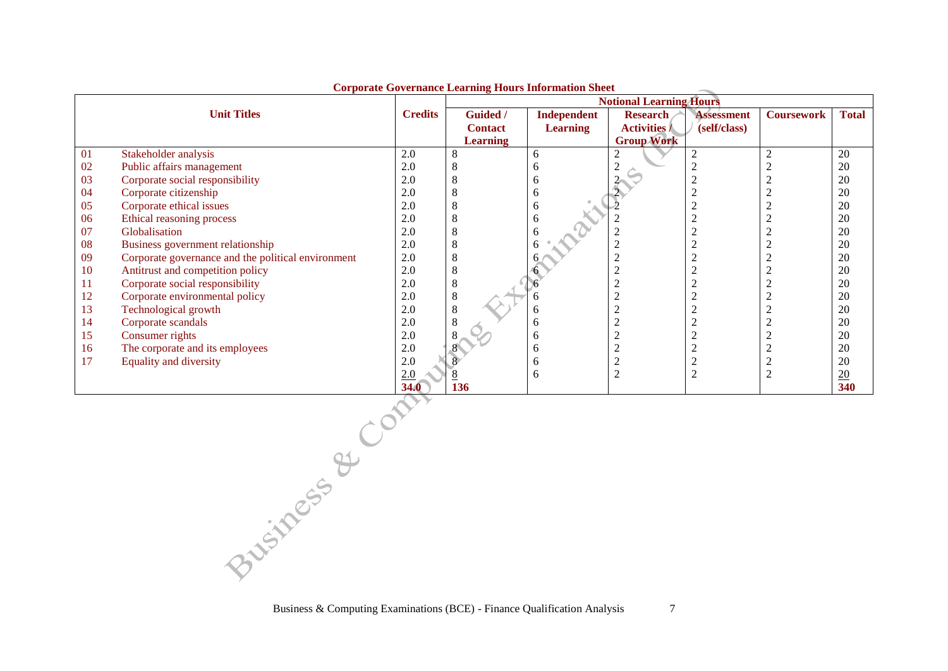|    | Corporate Governance Hearing Louis Information on  |                | <b>Notional Learning Hours</b> |                    |                     |                   |                   |                  |  |
|----|----------------------------------------------------|----------------|--------------------------------|--------------------|---------------------|-------------------|-------------------|------------------|--|
|    | <b>Unit Titles</b>                                 | <b>Credits</b> | Guided /                       | <b>Independent</b> | <b>Research</b>     | <b>Assessment</b> | <b>Coursework</b> | <b>Total</b>     |  |
|    |                                                    |                | <b>Contact</b>                 | <b>Learning</b>    | <b>Activities /</b> | (self/class)      |                   |                  |  |
|    |                                                    |                | Learning                       |                    | <b>Group Work</b>   |                   |                   |                  |  |
| 01 | Stakeholder analysis                               | 2.0            |                                | 6                  |                     |                   |                   | 20               |  |
| 02 | Public affairs management                          | 2.0            |                                |                    |                     |                   |                   | 20               |  |
| 03 | Corporate social responsibility                    | 2.0            |                                | h                  |                     |                   |                   | 20               |  |
| 04 | Corporate citizenship                              | 2.0            |                                | h                  |                     |                   |                   | 20               |  |
| 05 | Corporate ethical issues                           | 2.0            |                                | 6                  |                     |                   |                   | 20               |  |
| 06 | Ethical reasoning process                          | 2.0            |                                |                    |                     |                   |                   | 20               |  |
| 07 | Globalisation                                      | 2.0            |                                |                    |                     |                   |                   | 20               |  |
| 08 | Business government relationship                   | 2.0            |                                |                    |                     |                   |                   | 20               |  |
| 09 | Corporate governance and the political environment | 2.0            |                                |                    |                     |                   |                   | 20               |  |
| 10 | Antitrust and competition policy                   | 2.0            |                                |                    |                     |                   |                   | 20               |  |
| 11 | Corporate social responsibility                    | 2.0            |                                |                    |                     |                   |                   | 20               |  |
| 12 | Corporate environmental policy                     | 2.0            |                                |                    |                     |                   |                   | 20               |  |
| 13 | Technological growth                               | 2.0            |                                | n                  |                     |                   |                   | 20               |  |
| 14 | Corporate scandals                                 | 2.0            |                                |                    |                     |                   |                   | 20               |  |
| 15 | Consumer rights                                    | 2.0            |                                | h                  |                     |                   |                   | 20               |  |
| 16 | The corporate and its employees                    | 2.0            |                                | h                  |                     |                   |                   | 20               |  |
| 17 | Equality and diversity                             | 2.0            |                                |                    |                     |                   |                   | 20               |  |
|    |                                                    | 2.0            |                                | 6                  |                     |                   |                   | $\underline{20}$ |  |
|    |                                                    | <b>34.0</b>    | 136                            |                    |                     |                   |                   | 340              |  |

**Corporate Governance Learning Hours Information Sheet**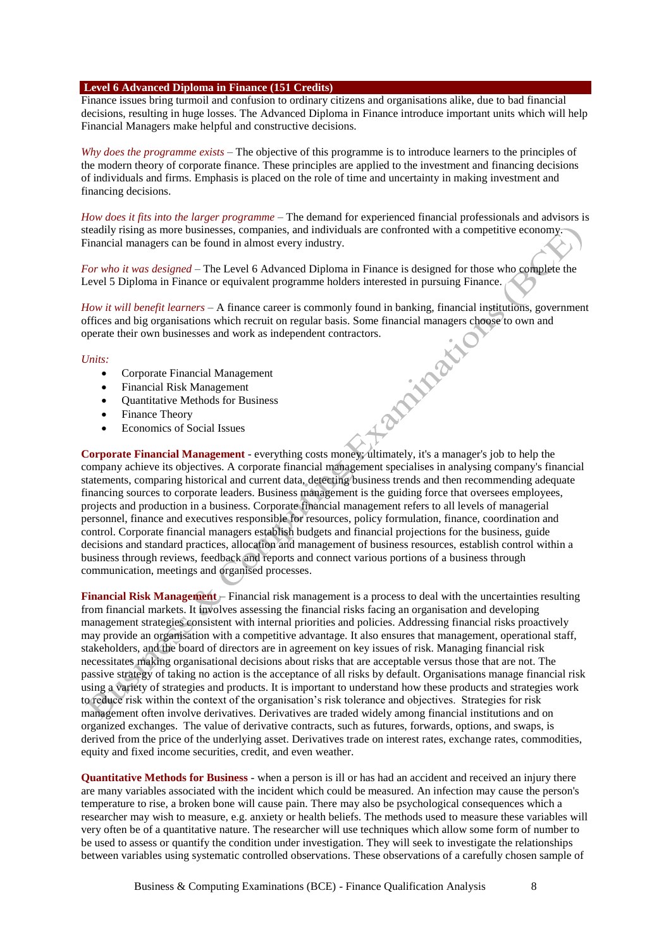#### **Level 6 Advanced Diploma in Finance (151 Credits)**

Finance issues bring turmoil and confusion to ordinary citizens and organisations alike, due to bad financial decisions, resulting in huge losses. The Advanced Diploma in Finance introduce important units which will help Financial Managers make helpful and constructive decisions.

*Why does the programme exists* – The objective of this programme is to introduce learners to the principles of the modern theory of corporate finance. These principles are applied to the investment and financing decisions of individuals and firms. Emphasis is placed on the role of time and uncertainty in making investment and financing decisions.

*How does it fits into the larger programme* – The demand for experienced financial professionals and advisors is steadily rising as more businesses, companies, and individuals are confronted with a competitive economy. Financial managers can be found in almost every industry.

*For who it was designed* – The Level 6 Advanced Diploma in Finance is designed for those who complete the Level 5 Diploma in Finance or equivalent programme holders interested in pursuing Finance.

*How it will benefit learners* – A finance career is commonly found in banking, financial institutions, government offices and big organisations which recruit on regular basis. Some financial managers choose to own and operate their own businesses and work as independent contractors.<br>
Units:<br>
• Corporate Financial Management<br>
• Financial Risk Management<br>
• Quantitative Methods for Business<br>
• Finance Theory<br>
• Economic

#### *Units:*

- Corporate Financial Management
- Financial Risk Management
- Quantitative Methods for Business
- Finance Theory
- Economics of Social Issues

**Corporate Financial Management** - everything costs money; ultimately, it's a manager's job to help the company achieve its objectives. A corporate financial management specialises in analysing company's financial statements, comparing historical and current data, detecting business trends and then recommending adequate financing sources to corporate leaders. Business management is the guiding force that oversees employees, projects and production in a business. Corporate financial management refers to all levels of managerial personnel, finance and executives responsible for resources, policy formulation, finance, coordination and control. Corporate financial managers establish budgets and financial projections for the business, guide decisions and standard practices, allocation and management of business resources, establish control within a business through reviews, feedback and reports and connect various portions of a business through communication, meetings and organised processes.

**Financial Risk Management** – Financial risk management is a process to deal with the uncertainties resulting from financial markets. It involves assessing the financial risks facing an organisation and developing management strategies consistent with internal priorities and policies. Addressing financial risks proactively may provide an organisation with a competitive advantage. It also ensures that management, operational staff, stakeholders, and the board of directors are in agreement on key issues of risk. Managing financial risk necessitates making organisational decisions about risks that are acceptable versus those that are not. The passive strategy of taking no action is the acceptance of all risks by default. Organisations manage financial risk using a variety of strategies and products. It is important to understand how these products and strategies work to reduce risk within the context of the organisation's risk tolerance and objectives. Strategies for risk management often involve derivatives. Derivatives are traded widely among financial institutions and on organized exchanges. The value of derivative contracts, such as futures, forwards, options, and swaps, is derived from the price of the underlying asset. Derivatives trade on interest rates, exchange rates, commodities, equity and fixed income securities, credit, and even weather.

**Quantitative Methods for Business** - when a person is ill or has had an accident and received an injury there are many variables associated with the incident which could be measured. An infection may cause the person's temperature to rise, a broken bone will cause pain. There may also be psychological consequences which a researcher may wish to measure, e.g. anxiety or health beliefs. The methods used to measure these variables will very often be of a quantitative nature. The researcher will use techniques which allow some form of number to be used to assess or quantify the condition under investigation. They will seek to investigate the relationships between variables using systematic controlled observations. These observations of a carefully chosen sample of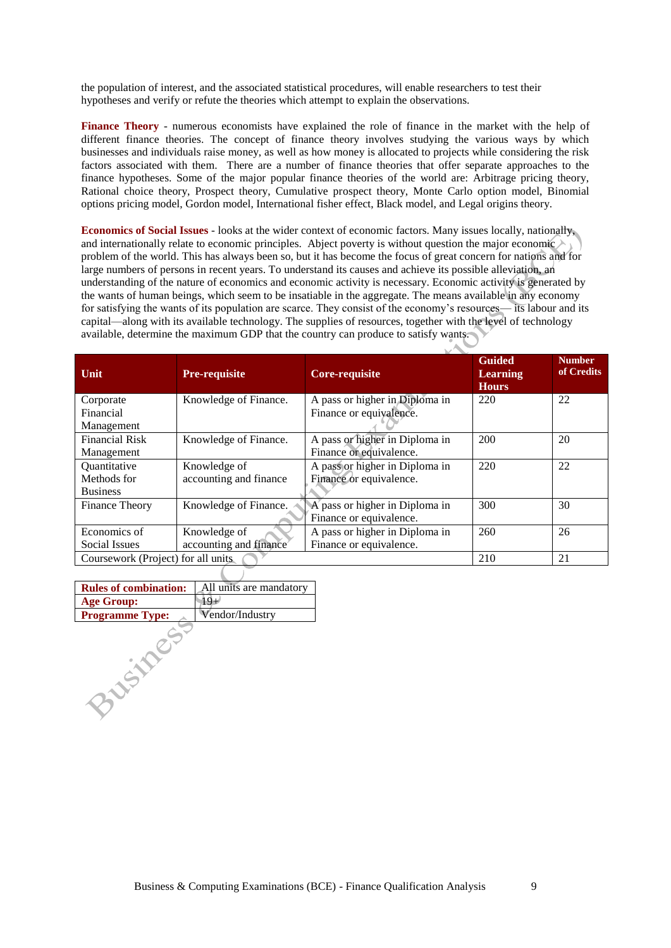the population of interest, and the associated statistical procedures, will enable researchers to test their hypotheses and verify or refute the theories which attempt to explain the observations.

**Finance Theory** - numerous economists have explained the role of finance in the market with the help of different finance theories. The concept of finance theory involves studying the various ways by which businesses and individuals raise money, as well as how money is allocated to projects while considering the risk factors associated with them. There are a number of finance theories that offer separate approaches to the finance hypotheses. Some of the major popular finance theories of the world are: Arbitrage pricing theory, Rational choice theory, Prospect theory, Cumulative prospect theory, Monte Carlo option model, Binomial options pricing model, Gordon model, International fisher effect, Black model, and Legal origins theory.

**Economics of Social Issues** - looks at the wider context of economic factors. Many issues locally, nationally, and internationally relate to economic principles. Abject poverty is without question the major economic  $\geq$ problem of the world. This has always been so, but it has become the focus of great concern for nations and for large numbers of persons in recent years. To understand its causes and achieve its possible alleviation, an understanding of the nature of economics and economic activity is necessary. Economic activity is generated by the wants of human beings, which seem to be insatiable in the aggregate. The means available in any economy for satisfying the wants of its population are scarce. They consist of the economy's resources— its labour and its capital—along with its available technology. The supplies of resources, together with the level of technology available, determine the maximum GDP that the country can produce to satisfy wants.

| Unit                               | <b>Pre-requisite</b>   | Core-requisite                 | <b>Guided</b><br><b>Learning</b><br><b>Hours</b> | <b>Number</b><br>of Credits |
|------------------------------------|------------------------|--------------------------------|--------------------------------------------------|-----------------------------|
| Corporate                          | Knowledge of Finance.  | A pass or higher in Diploma in | 220                                              | 22                          |
| Financial                          |                        | Finance or equivalence.        |                                                  |                             |
| Management                         |                        |                                |                                                  |                             |
| <b>Financial Risk</b>              | Knowledge of Finance.  | A pass or higher in Diploma in | 200                                              | 20                          |
| Management                         |                        | Finance or equivalence.        |                                                  |                             |
| Quantitative                       | Knowledge of           | A pass or higher in Diploma in | 220                                              | 22                          |
| Methods for                        | accounting and finance | Finance or equivalence.        |                                                  |                             |
| <b>Business</b>                    |                        |                                |                                                  |                             |
| <b>Finance Theory</b>              | Knowledge of Finance.  | A pass or higher in Diploma in | 300                                              | 30                          |
|                                    |                        | Finance or equivalence.        |                                                  |                             |
| Economics of                       | Knowledge of           | A pass or higher in Diploma in | 260                                              | 26                          |
| Social Issues                      | accounting and finance | Finance or equivalence.        |                                                  |                             |
| Coursework (Project) for all units |                        |                                | 210                                              | 21                          |

| <b>Rules of combination:</b> | All units are mandatory |
|------------------------------|-------------------------|
| <b>Age Group:</b>            |                         |
| <b>Programme Type:</b>       | Vendor/Industry         |
|                              |                         |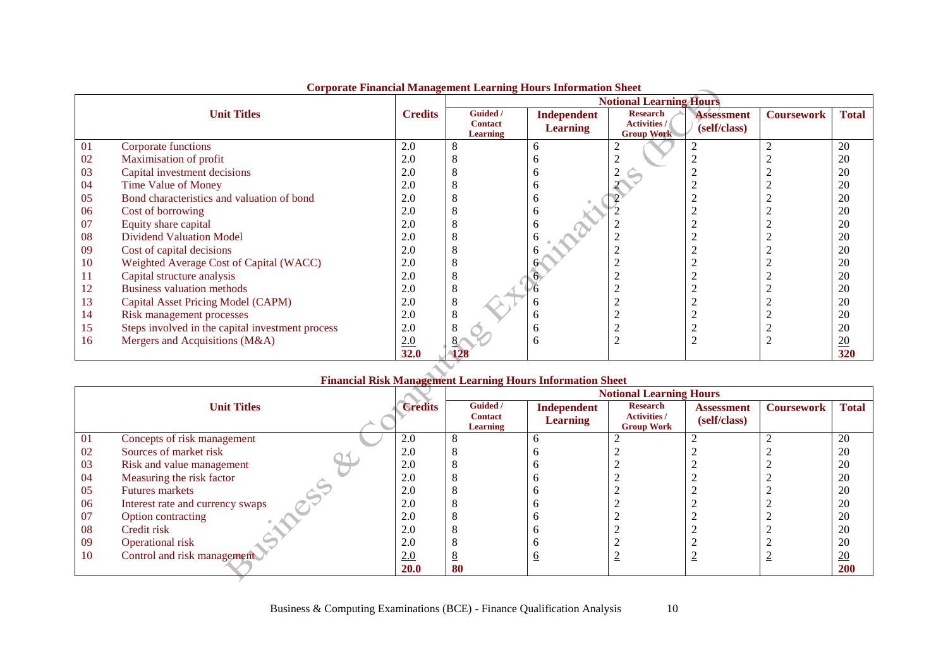|    |                                                  |                |                                               | <b>Notional Learning Hours</b> |                                                             |                                   |                   |                 |  |
|----|--------------------------------------------------|----------------|-----------------------------------------------|--------------------------------|-------------------------------------------------------------|-----------------------------------|-------------------|-----------------|--|
|    | <b>Unit Titles</b>                               | <b>Credits</b> | Guided /<br><b>Contact</b><br><b>Learning</b> | Independent<br><b>Learning</b> | <b>Research</b><br><b>Activities /</b><br><b>Group Work</b> | <b>Assessment</b><br>(self/class) | <b>Coursework</b> | <b>Total</b>    |  |
| 01 | Corporate functions                              | 2.0            |                                               | 6                              |                                                             |                                   |                   | 20              |  |
| 02 | Maximisation of profit                           | 2.0            |                                               | n                              |                                                             |                                   |                   | 20              |  |
| 03 | Capital investment decisions                     | 2.0            |                                               | n                              |                                                             |                                   |                   | 20              |  |
| 04 | <b>Time Value of Money</b>                       | 2.0            |                                               | h                              |                                                             |                                   |                   | 20              |  |
| 05 | Bond characteristics and valuation of bond       | 2.0            |                                               | n                              |                                                             |                                   |                   | 20              |  |
| 06 | Cost of borrowing                                | 2.0            |                                               | h                              |                                                             |                                   |                   | 20              |  |
| 07 | Equity share capital                             | 2.0            |                                               |                                |                                                             |                                   |                   | 20              |  |
| 08 | <b>Dividend Valuation Model</b>                  | 2.0            |                                               |                                |                                                             |                                   |                   | 20              |  |
| 09 | Cost of capital decisions                        | 2.0            |                                               |                                |                                                             |                                   |                   | 20              |  |
| 10 | Weighted Average Cost of Capital (WACC)          | 2.0            |                                               |                                |                                                             |                                   |                   | 20              |  |
| 11 | Capital structure analysis                       | 2.0            |                                               |                                |                                                             |                                   |                   | 20              |  |
| 12 | <b>Business valuation methods</b>                | 2.0            | 8                                             |                                |                                                             |                                   |                   | 20              |  |
| 13 | Capital Asset Pricing Model (CAPM)               | 2.0            | 8                                             |                                |                                                             |                                   |                   | 20              |  |
| 14 | Risk management processes                        | 2.0            |                                               | n                              |                                                             |                                   |                   | 20              |  |
| 15 | Steps involved in the capital investment process | 2.0            |                                               |                                |                                                             |                                   |                   | 20              |  |
| 16 | Mergers and Acquisitions (M&A)                   | 2.0            |                                               | h                              |                                                             | ◠                                 |                   | $\overline{20}$ |  |
|    |                                                  | <b>32.0</b>    |                                               |                                |                                                             |                                   |                   | 320             |  |
|    |                                                  |                |                                               |                                |                                                             |                                   |                   |                 |  |

## **Corporate Financial Management Learning Hours Information Sheet**

## **Financial Risk Management Learning Hours Information Sheet**

|    |                                  |                | <b>Notional Learning Hours</b> |                                |                                        |                                   |                   |                 |  |
|----|----------------------------------|----------------|--------------------------------|--------------------------------|----------------------------------------|-----------------------------------|-------------------|-----------------|--|
|    | <b>Unit Titles</b>               | <b>Credits</b> | Guided /<br><b>Contact</b>     | Independent<br><b>Learning</b> | <b>Research</b><br><b>Activities /</b> | <b>Assessment</b><br>(self/class) | <b>Coursework</b> | <b>Total</b>    |  |
|    |                                  |                | Learning                       |                                | <b>Group Work</b>                      |                                   |                   |                 |  |
| 01 | Concepts of risk management      | 2.0            |                                |                                |                                        |                                   |                   | 20              |  |
| 02 | Sources of market risk           | 2.0            |                                |                                |                                        |                                   |                   | 20              |  |
| 03 | Risk and value management        | 2.0            |                                |                                |                                        |                                   |                   | 20              |  |
| 04 | Measuring the risk factor        | 2.0            |                                |                                |                                        |                                   |                   | 20              |  |
| 05 | <b>Futures markets</b>           | 2.0            |                                |                                |                                        |                                   |                   | 20              |  |
| 06 | Interest rate and currency swaps | 2.0            |                                |                                |                                        |                                   |                   | 20              |  |
| 07 | Option contracting               | 2.0            |                                |                                |                                        |                                   |                   | 20              |  |
| 08 | Credit risk                      | 2.0            |                                |                                |                                        |                                   |                   | 20              |  |
| 09 | Operational risk                 | 2.0            |                                |                                |                                        |                                   |                   | 20              |  |
| 10 | Control and risk management      | 2.0            |                                |                                |                                        |                                   |                   | $\overline{20}$ |  |
|    |                                  | <b>20.0</b>    | 80                             |                                |                                        |                                   |                   | 200             |  |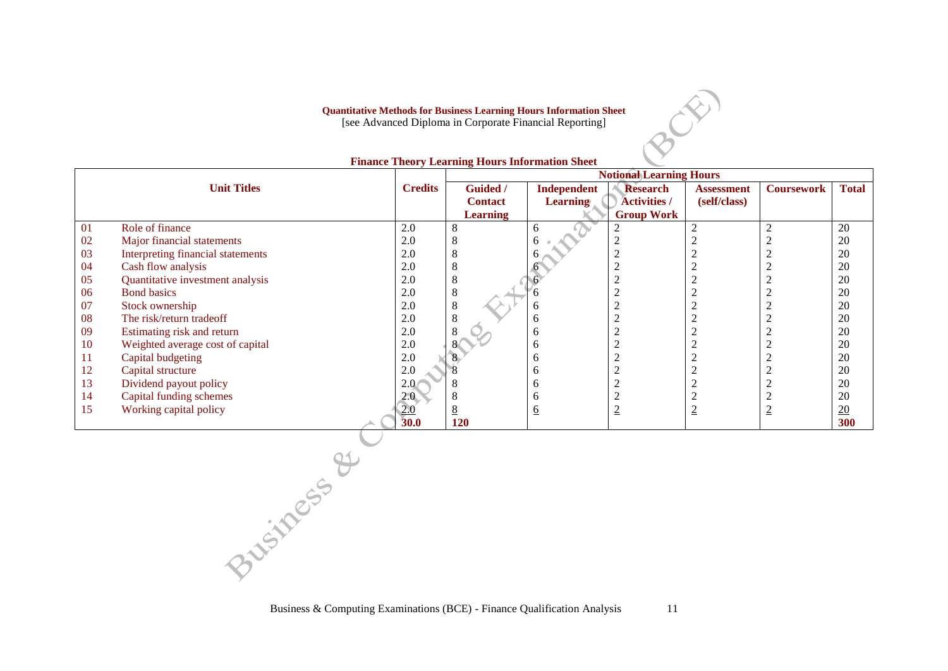**Quantitative Methods for Business Learning Hours Information Sheet**

[see Advanced Diploma in Corporate Financial Reporting]

|     |                                   |                  | <b>Notional Learning Hours</b> |                 |                     |                   |                   |              |  |
|-----|-----------------------------------|------------------|--------------------------------|-----------------|---------------------|-------------------|-------------------|--------------|--|
|     | <b>Unit Titles</b>                | <b>Credits</b>   | Guided /                       | Independent     | <b>Research</b>     | <b>Assessment</b> | <b>Coursework</b> | <b>Total</b> |  |
|     |                                   |                  | <b>Contact</b>                 | <b>Learning</b> | <b>Activities /</b> | (self/class)      |                   |              |  |
|     |                                   |                  | <b>Learning</b>                |                 | <b>Group Work</b>   |                   |                   |              |  |
| 01  | Role of finance                   | 2.0              | 8                              | 6               |                     |                   |                   | 20           |  |
| 02  | Major financial statements        | 2.0              | 8                              | 6               | ∠                   |                   |                   | 20           |  |
| 03  | Interpreting financial statements | 2.0              | 8                              |                 | $\overline{2}$      |                   |                   | 20           |  |
| 04  | Cash flow analysis                | 2.0              | 8                              |                 | ◠<br>∠              |                   |                   | 20           |  |
| 05  | Quantitative investment analysis  | 2.0              | 8                              |                 | $\bigcap$<br>∠      |                   |                   | 20           |  |
| 06  | <b>Bond basics</b>                | 2.0              | 8                              |                 |                     |                   |                   | 20           |  |
| 07  | Stock ownership                   | 2.0              | 8                              | <sub>0</sub>    | $\bigcap$           |                   |                   | 20           |  |
| 08  | The risk/return tradeoff          | 2.0              | 8                              | <sub>0</sub>    | $\bigcap$<br>∠      |                   |                   | 20           |  |
| 09  | Estimating risk and return        | 2.0              | 8                              | <sub>0</sub>    | ◠<br>∠              |                   |                   | 20           |  |
| 10  | Weighted average cost of capital  | 2.0              |                                | 6               | ◠                   |                   |                   | 20           |  |
| -11 | Capital budgeting                 | 2.0              |                                | <sub>0</sub>    | $\bigcap$<br>∠      |                   |                   | 20           |  |
| 12  | Capital structure                 | 2.0              |                                | <sub>0</sub>    | ◠<br>∠              |                   |                   | 20           |  |
| 13  | Dividend payout policy            | 2.0<             | 8                              | <sub>b</sub>    | ◠                   |                   |                   | 20           |  |
| 14  | Capital funding schemes           | 2.0 <sup>°</sup> | 8                              | <sub>0</sub>    | ◠                   |                   |                   | 20           |  |
| 15  | Working capital policy            | <u>2.0</u>       | 8                              | <u>6</u>        | $\overline{2}$      | ⋍                 | ≃                 | 20           |  |
|     |                                   | 30.0             | 120                            |                 |                     |                   |                   | 300          |  |

#### **Finance Theory Learning Hours Information Sheet**

Business & Computing Examinations (BCE) - Finance Qualification Analysis 11

BOR